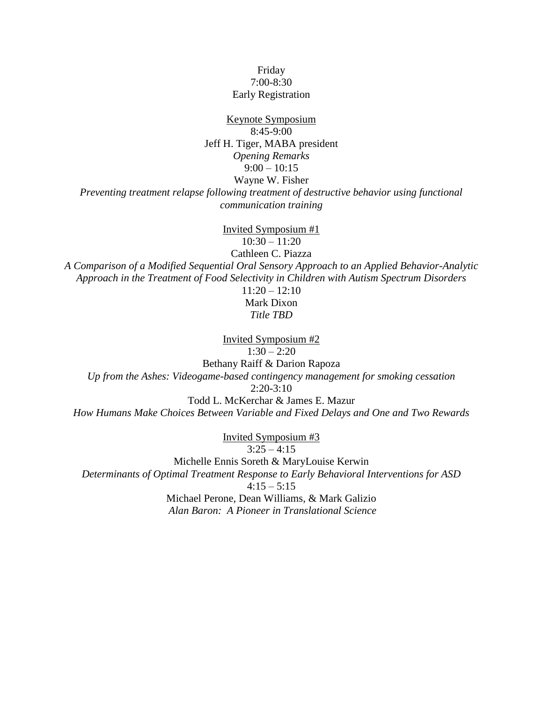## Friday 7:00-8:30 Early Registration

Keynote Symposium 8:45-9:00 Jeff H. Tiger, MABA president *Opening Remarks*  $9:00 - 10:15$ Wayne W. Fisher

*Preventing treatment relapse following treatment of destructive behavior using functional communication training*

Invited Symposium #1 10:30 – 11:20 Cathleen C. Piazza *A Comparison of a Modified Sequential Oral Sensory Approach to an Applied Behavior-Analytic Approach in the Treatment of Food Selectivity in Children with Autism Spectrum Disorders*  $11:20 - 12:10$ 

Mark Dixon *Title TBD*

Invited Symposium #2  $1:30 - 2:20$ Bethany Raiff & Darion Rapoza *Up from the Ashes: Videogame-based contingency management for smoking cessation*  $2:20-3:10$ Todd L. McKerchar & James E. Mazur

*How Humans Make Choices Between Variable and Fixed Delays and One and Two Rewards*

Invited Symposium #3  $3:25 - 4:15$ 

Michelle Ennis Soreth & MaryLouise Kerwin *Determinants of Optimal Treatment Response to Early Behavioral Interventions for ASD*  $4:15 - 5:15$ Michael Perone, Dean Williams, & Mark Galizio *Alan Baron: A Pioneer in Translational Science*